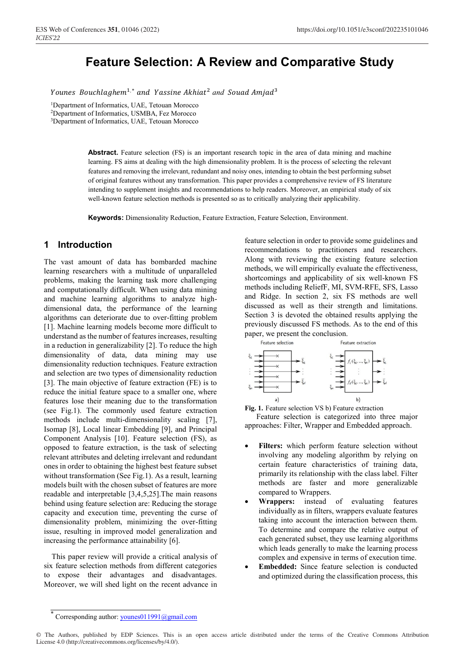# **Feature Selection: A Review and Comparative Study**

Younes Bouchlaghem<sup>1,\*</sup> and Yassine Akhiat<sup>2</sup> and Souad Amjad<sup>3</sup>

1Department of Informatics, UAE, Tetouan Morocco 2Department of Informatics, USMBA, Fez Morocco

3Department of Informatics, UAE, Tetouan Morocco

**Abstract.** Feature selection (FS) is an important research topic in the area of data mining and machine learning. FS aims at dealing with the high dimensionality problem. It is the process of selecting the relevant features and removing the irrelevant, redundant and noisy ones, intending to obtain the best performing subset of original features without any transformation. This paper provides a comprehensive review of FS literature intending to supplement insights and recommendations to help readers. Moreover, an empirical study of six well-known feature selection methods is presented so as to critically analyzing their applicability.

**Keywords:** Dimensionality Reduction, Feature Extraction, Feature Selection, Environment.

### **1 Introduction**

The vast amount of data has bombarded machine learning researchers with a multitude of unparalleled problems, making the learning task more challenging and computationally difficult. When using data mining and machine learning algorithms to analyze highdimensional data, the performance of the learning algorithms can deteriorate due to over-fitting problem [1]. Machine learning models become more difficult to understand as the number of features increases, resulting in a reduction in generalizability [2]. To reduce the high dimensionality of data, data mining may use dimensionality reduction techniques. Feature extraction and selection are two types of dimensionality reduction [3]. The main objective of feature extraction (FE) is to reduce the initial feature space to a smaller one, where features lose their meaning due to the transformation (see Fig.1). The commonly used feature extraction methods include multi-dimensionality scaling [7], Isomap [8], Local linear Embedding [9], and Principal Component Analysis [10]. Feature selection (FS), as opposed to feature extraction, is the task of selecting relevant attributes and deleting irrelevant and redundant ones in order to obtaining the highest best feature subset without transformation (See Fig.1). As a result, learning models built with the chosen subset of features are more readable and interpretable [3,4,5,25].The main reasons behind using feature selection are: Reducing the storage capacity and execution time, preventing the curse of dimensionality problem, minimizing the over-fitting issue, resulting in improved model generalization and increasing the performance attainability [6].

 This paper review will provide a critical analysis of six feature selection methods from different categories to expose their advantages and disadvantages. Moreover, we will shed light on the recent advance in

feature selection in order to provide some guidelines and recommendations to practitioners and researchers. Along with reviewing the existing feature selection methods, we will empirically evaluate the effectiveness, shortcomings and applicability of six well-known FS methods including ReliefF, MI, SVM-RFE, SFS, Lasso and Ridge. In section 2, six FS methods are well discussed as well as their strength and limitations. Section 3 is devoted the obtained results applying the previously discussed FS methods. As to the end of this paper, we present the conclusion.



**Fig. 1.** Feature selection VS b) Feature extraction

 Feature selection is categorized into three major approaches: Filter, Wrapper and Embedded approach.

- **Filters:** which perform feature selection without involving any modeling algorithm by relying on certain feature characteristics of training data, primarily its relationship with the class label. Filter methods are faster and more generalizable compared to Wrappers.
- **Wrappers:** instead of evaluating features individually as in filters, wrappers evaluate features taking into account the interaction between them. To determine and compare the relative output of each generated subset, they use learning algorithms which leads generally to make the learning process complex and expensive in terms of execution time.
- **Embedded:** Since feature selection is conducted and optimized during the classification process, this

Corresponding author: younes011991@gmail.com

<sup>©</sup> The Authors, published by EDP Sciences. This is an open access article distributed under the terms of the Creative Commons Attribution License 4.0 (http://creativecommons.org/licenses/by/4.0/).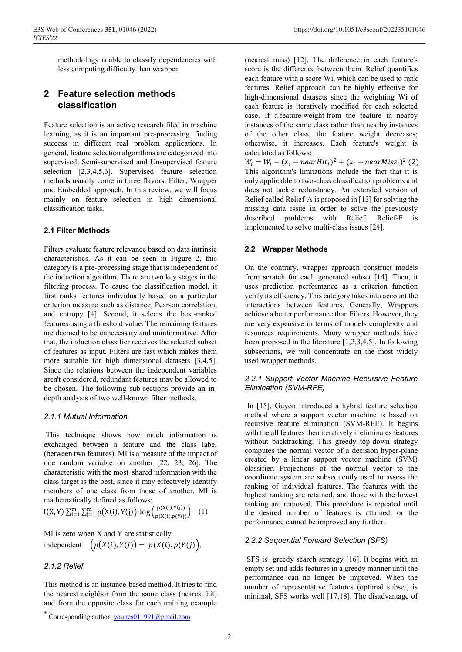methodology is able to classify dependencies with less computing difficulty than wrapper.

# **2 Feature selection methods classification**

Feature selection is an active research filed in machine learning, as it is an important pre-processing, finding success in different real problem applications. In general, feature selection algorithms are categorized into supervised, Semi-supervised and Unsupervised feature selection [2,3,4,5,6]. Supervised feature selection methods usually come in three flavors: Filter, Wrapper and Embedded approach. In this review, we will focus mainly on feature selection in high dimensional classification tasks.

## **2.1 Filter Methods**

Filters evaluate feature relevance based on data intrinsic characteristics. As it can be seen in Figure 2, this category is a pre-processing stage that is independent of the induction algorithm. There are two key stages in the filtering process. To cause the classification model, it first ranks features individually based on a particular criterion measure such as distance, Pearson correlation, and entropy [4]. Second, it selects the best-ranked features using a threshold value. The remaining features are deemed to be unnecessary and uninformative. After that, the induction classifier receives the selected subset of features as input. Filters are fast which makes them more suitable for high dimensional datasets [3,4,5]. Since the relations between the independent variables aren't considered, redundant features may be allowed to be chosen. The following sub-sections provide an indepth analysis of two well-known filter methods.

# *2.1.1 Mutual Information*

This technique shows how much information is exchanged between a feature and the class label (between two features). MI is a measure of the impact of one random variable on another [22, 23, 26]. The characteristic with the most shared information with the class target is the best, since it may effectively identify members of one class from those of another. MI is mathematically defined as follows:

 $I(X, Y) \sum_{i=1}^{m} \sum_{j=1}^{m} p(X(i), Y(j)) \cdot \log \left( \frac{p(X(i), Y(j))}{p(X(i), p(Y(j))} \right)$  (1)

MI is zero when X and Y are statistically independent  $\left(p(X(i), Y(j)) = p(X(i), p(Y(j))\right)$ .

# *2.1.2 Relief*

This method is an instance-based method. It tries to find the nearest neighbor from the same class (nearest hit) and from the opposite class for each training example

Corresponding author: younes011991@gmail.com

(nearest miss) [12]. The difference in each feature's score is the difference between them. Relief quantifies each feature with a score Wi, which can be used to rank features. Relief approach can be highly effective for high-dimensional datasets since the weighting Wi of each feature is iteratively modified for each selected case. If a feature weight from the feature in nearby instances of the same class rather than nearby instances of the other class, the feature weight decreases; otherwise, it increases. Each feature's weight is calculated as follows:

 $W_i = W_i - (x_i - nearHit_i)^2 + (x_i - nearMiss_i)^2$  (2) This algorithm's limitations include the fact that it is only applicable to two-class classification problems and does not tackle redundancy. An extended version of Relief called Relief-A is proposed in [13] for solving the missing data issue in order to solve the previously described problems with Relief. Relief-F is implemented to solve multi-class issues [24].

## **2.2 Wrapper Methods**

On the contrary, wrapper approach construct models from scratch for each generated subset [14]. Then, it uses prediction performance as a criterion function verify its efficiency. This category takes into account the interactions between features. Generally, Wrappers achieve a better performance than Filters. However, they are very expensive in terms of models complexity and resources requirements. Many wrapper methods have been proposed in the literature [1,2,3,4,5]. In following subsections, we will concentrate on the most widely used wrapper methods.

### *2.2.1 Support Vector Machine Recursive Feature Elimination (SVM-RFE)*

In [15], Guyon introduced a hybrid feature selection method where a support vector machine is based on recursive feature elimination (SVM-RFE). It begins with the all features then iteratively it eliminates features without backtracking. This greedy top-down strategy computes the normal vector of a decision hyper-plane created by a linear support vector machine (SVM) classifier. Projections of the normal vector to the coordinate system are subsequently used to assess the ranking of individual features. The features with the highest ranking are retained, and those with the lowest ranking are removed. This procedure is repeated until the desired number of features is attained, or the performance cannot be improved any further.

# *2.2.2 Sequential Forward Selection (SFS)*

SFS is greedy search strategy [16]. It begins with an empty set and adds features in a greedy manner until the performance can no longer be improved. When the number of representative features (optimal subset) is minimal, SFS works well [17,18]. The disadvantage of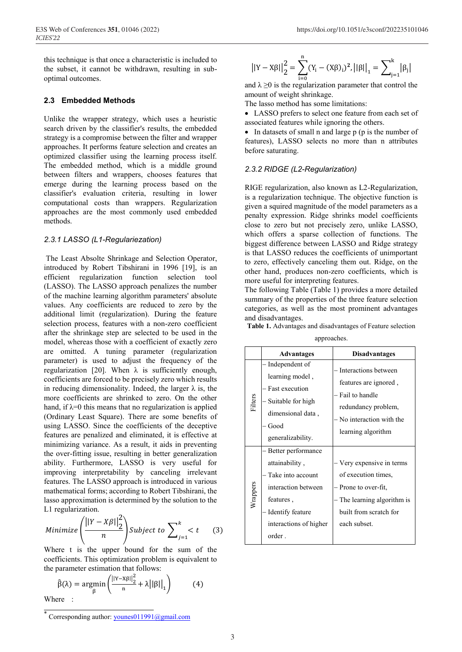this technique is that once a characteristic is included to the subset, it cannot be withdrawn, resulting in suboptimal outcomes.

#### **2.3 Embedded Methods**

Unlike the wrapper strategy, which uses a heuristic search driven by the classifier's results, the embedded strategy is a compromise between the filter and wrapper approaches. It performs feature selection and creates an optimized classifier using the learning process itself. The embedded method, which is a middle ground between filters and wrappers, chooses features that emerge during the learning process based on the classifier's evaluation criteria, resulting in lower computational costs than wrappers. Regularization approaches are the most commonly used embedded methods.

#### *2.3.1 LASSO (L1-Regulariezation)*

The Least Absolte Shrinkage and Selection Operator, introduced by Robert Tibshirani in 1996 [19], is an efficient regularization function selection tool (LASSO). The LASSO approach penalizes the number of the machine learning algorithm parameters' absolute values. Any coefficients are reduced to zero by the additional limit (regularization). During the feature selection process, features with a non-zero coefficient after the shrinkage step are selected to be used in the model, whereas those with a coefficient of exactly zero are omitted. A tuning parameter (regularization parameter) is used to adjust the frequency of the regularization [20]. When  $λ$  is sufficiently enough, coefficients are forced to be precisely zero which results in reducing dimensionality. Indeed, the larger  $\lambda$  is, the more coefficients are shrinked to zero. On the other hand, if  $\lambda = 0$  this means that no regularization is applied (Ordinary Least Square). There are some benefits of using LASSO. Since the coefficients of the deceptive features are penalized and eliminated, it is effective at minimizing variance. As a result, it aids in preventing the over-fitting issue, resulting in better generalization ability. Furthermore, LASSO is very useful for improving interpretability by canceling irrelevant features. The LASSO approach is introduced in various mathematical forms; according to Robert Tibshirani, the lasso approximation is determined by the solution to the L1 regularization.

$$
Minimize \left( \frac{||Y - X\beta||_2^2}{n} \right) Subject to \sum_{j=1}^{k} < t \qquad (3)
$$

Where t is the upper bound for the sum of the coefficients. This optimization problem is equivalent to the parameter estimation that follows:

$$
\hat{\beta}(\lambda) = \underset{\beta}{\text{argmin}} \left( \frac{||Y - X\beta||_2^2}{n} + \lambda ||\beta||_1 \right) \tag{4}
$$

Where :

$$
||Y - X\beta||_2^2 = \sum_{i=0}^n (Y_i - (X\beta)_i)^2, ||\beta||_1 = \sum_{j=1}^k |\beta_j|
$$

and  $\lambda \ge 0$  is the regularization parameter that control the amount of weight shrinkage.

The lasso method has some limitations:

• LASSO prefers to select one feature from each set of associated features while ignoring the others.

• In datasets of small n and large p (p is the number of features), LASSO selects no more than n attributes before saturating.

#### *2.3.2 RIDGE (L2-Regularization)*

RIGE regularization, also known as L2-Regularization, is a regularization technique. The objective function is given a squired magnitude of the model parameters as a penalty expression. Ridge shrinks model coefficients close to zero but not precisely zero, unlike LASSO, which offers a sparse collection of functions. The biggest difference between LASSO and Ridge strategy is that LASSO reduces the coefficients of unimportant to zero, effectively canceling them out. Ridge, on the other hand, produces non-zero coefficients, which is more useful for interpreting features.

The following Table (Table 1) provides a more detailed summary of the properties of the three feature selection categories, as well as the most prominent advantages and disadvantages.

**Table 1.** Advantages and disadvantages of Feature selection

approaches.

|          | <b>Advantages</b>                                                                                                                                     | <b>Disadvantages</b>                                                                                                                            |
|----------|-------------------------------------------------------------------------------------------------------------------------------------------------------|-------------------------------------------------------------------------------------------------------------------------------------------------|
| Filters  | Independent of<br>learning model,<br>Fast execution<br>Suitable for high<br>dimensional data,<br>Good<br>generalizability.                            | - Interactions between<br>features are ignored,<br>Fail to handle<br>redundancy problem,<br>- No interaction with the<br>learning algorithm     |
| Wrappers | Better performance<br>attainability,<br>Take into account<br>interaction between<br>features,<br>Identify feature<br>interactions of higher<br>order. | - Very expensive in terms<br>of execution times,<br>– Prone to over-fit,<br>The learning algorithm is<br>built from scratch for<br>each subset. |

Corresponding author: younes011991@gmail.com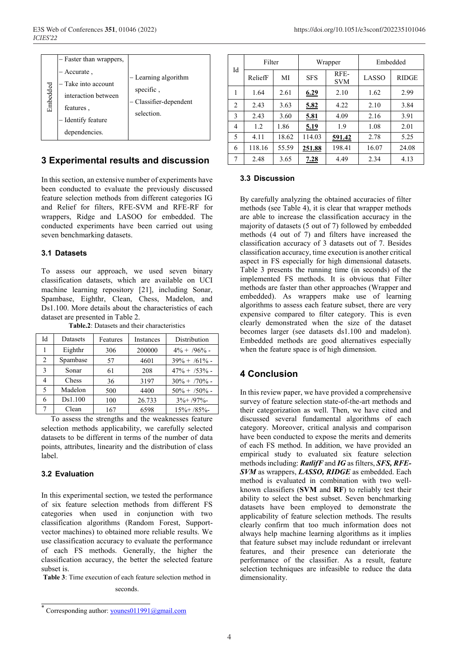| - Faster than wrappers,<br>- Accurate,<br>Embedded | Take into account<br>interaction between<br>features,<br>- Identify feature<br>dependencies. | - Learning algorithm<br>specific,<br>- Classifier-dependent<br>selection. |
|----------------------------------------------------|----------------------------------------------------------------------------------------------|---------------------------------------------------------------------------|
|                                                    |                                                                                              |                                                                           |

# **3 Experimental results and discussion**

In this section, an extensive number of experiments have been conducted to evaluate the previously discussed feature selection methods from different categories IG and Relief for filters, RFE-SVM and RFE-RF for wrappers, Ridge and LASOO for embedded. The conducted experiments have been carried out using seven benchmarking datasets.

### **3.1 Datasets**

To assess our approach, we used seven binary classification datasets, which are available on UCI machine learning repository [21], including Sonar, Spambase, Eighthr, Clean, Chess, Madelon, and Ds1.100. More details about the characteristics of each dataset are presented in Table 2.

| Id | <b>Datasets</b> | Features | Instances | Distribution           |  |  |
|----|-----------------|----------|-----------|------------------------|--|--|
|    | Eighthr         | 306      | 200000    | $4\% + \frac{96}{6}$ - |  |  |
| 2  | Spambase        | 57       | 4601      | $39\% + 761\%$         |  |  |
| 3  | Sonar           | 61       | 208       | $47\% + 753\%$ -       |  |  |
|    | Chess           | 36       | 3197      | $30\% + 70\%$ -        |  |  |
| 5  | Madelon         | 500      | 4400      | $50\% + 750\%$ -       |  |  |
| 6  | Ds1.100         | 100      | 26.733    | $3\% + 197\%$          |  |  |
|    | Clean           | 167      | 6598      | $15\% + 785\%$         |  |  |

**Table.2**: Datasets and their characteristics

 To assess the strengths and the weaknesses feature selection methods applicability, we carefully selected datasets to be different in terms of the number of data points, attributes, linearity and the distribution of class label.

### **3.2 Evaluation**

Franchin between<br>  $\frac{1}{2}$  antertation between<br>  $\frac{1}{2}$  antities,<br>  $\frac{1}{2}$  antities,<br>  $\frac{1}{2}$  antities,<br>  $\frac{1}{2}$  and  $\frac{1}{2}$  and  $\frac{1}{2}$  and  $\frac{1}{2}$  and  $\frac{1}{2}$ <br>  $\frac{1}{2}$  franchin between conducted to ve In this experimental section, we tested the performance of six feature selection methods from different FS categories when used in conjunction with two classification algorithms (Random Forest, Supportvector machines) to obtained more reliable results. We use classification accuracy to evaluate the performance of each FS methods. Generally, the higher the classification accuracy, the better the selected feature subset is.

**Table 3**: Time execution of each feature selection method in

### seconds.

| Id | Filter  |       |            | Wrapper            | Embedded |              |  |
|----|---------|-------|------------|--------------------|----------|--------------|--|
|    | ReliefF | МI    | <b>SFS</b> | RFF-<br><b>SVM</b> | LASSO    | <b>RIDGE</b> |  |
| 1  | 1.64    | 2.61  | 6.29       | 2.10               | 1.62     | 2.99         |  |
| 2  | 2.43    | 3.63  | 5.82       | 4.22               | 2.10     | 3.84         |  |
| 3  | 2.43    | 3.60  | 5.81       | 4.09               | 2.16     | 3.91         |  |
| 4  | 1.2     | 1.86  | 5.19       | 1.9                | 1.08     | 2.01         |  |
| 5  | 4.11    | 18.62 | 114.03     | 591.42             | 2.78     | 5.25         |  |
| 6  | 118.16  | 55.59 | 251.88     | 198.41             | 16.07    | 24.08        |  |
| 7  | 2.48    | 3.65  | 7.28       | 4.49               | 2.34     | 4.13         |  |

#### **3.3 Discussion**

By carefully analyzing the obtained accuracies of filter methods (see Table 4), it is clear that wrapper methods are able to increase the classification accuracy in the majority of datasets (5 out of 7) followed by embedded methods (4 out of 7) and filters have increased the classification accuracy of 3 datasets out of 7. Besides classification accuracy, time execution is another critical aspect in FS especially for high dimensional datasets. Table 3 presents the running time (in seconds) of the implemented FS methods. It is obvious that Filter methods are faster than other approaches (Wrapper and embedded). As wrappers make use of learning algorithms to assess each feature subset, there are very expensive compared to filter category. This is even clearly demonstrated when the size of the dataset becomes larger (see datasets ds1.100 and madelon). Embedded methods are good alternatives especially when the feature space is of high dimension.

# **4 Conclusion**

In this review paper, we have provided a comprehensive survey of feature selection state-of-the-art methods and their categorization as well. Then, we have cited and discussed several fundamental algorithms of each category. Moreover, critical analysis and comparison have been conducted to expose the merits and demerits of each FS method. In addition, we have provided an empirical study to evaluated six feature selection methods including: *RatlifF* and *IG* as filters, *SFS, RFE-SVM* as wrappers, *LASSO, RIDGE* as embedded. Each method is evaluated in combination with two wellknown classifiers (**SVM** and **RF**) to reliably test their ability to select the best subset. Seven benchmarking datasets have been employed to demonstrate the applicability of feature selection methods. The results clearly confirm that too much information does not always help machine learning algorithms as it implies that feature subset may include redundant or irrelevant features, and their presence can deteriorate the performance of the classifier. As a result, feature selection techniques are infeasible to reduce the data dimensionality.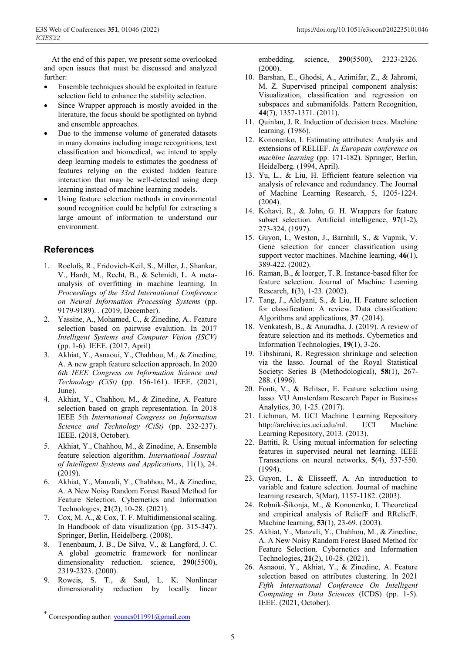At the end of this paper, we present some overlooked and open issues that must be discussed and analyzed further:

- Ensemble techniques should be exploited in feature selection field to enhance the stability selection.
- Since Wrapper approach is mostly avoided in the literature, the focus should be spotlighted on hybrid and ensemble approaches.
- Due to the immense volume of generated datasets in many domains including image recognitions, text classification and biomedical, we intend to apply deep learning models to estimates the goodness of features relying on the existed hidden feature interaction that may be well-detected using deep learning instead of machine learning models.
- Using feature selection methods in environmental sound recognition could be helpful for extracting a large amount of information to understand our environment.

### **References**

- 1. Roelofs, R., Fridovich-Keil, S., Miller, J., Shankar, V., Hardt, M., Recht, B., & Schmidt, L. A metaanalysis of overfitting in machine learning. In *Proceedings of the 33rd International Conference on Neural Information Processing Systems* (pp. 9179-9189). . (2019, December).
- 2. Yassine, A., Mohamed, C., & Zinedine, A.. Feature selection based on pairwise evalution. In 2017 *Intelligent Systems and Computer Vision (ISCV)* (pp. 1-6). IEEE. (2017, April)
- 3. Akhiat, Y., Asnaoui, Y., Chahhou, M., & Zinedine, A. A new graph feature selection approach. In 2020 *6th IEEE Congress on Information Science and Technology (CiSt)* (pp. 156-161). IEEE. (2021, June).
- 4. Akhiat, Y., Chahhou, M., & Zinedine, A. Feature selection based on graph representation. In 2018 IEEE 5th *International Congress on Information Science and Technology (CiSt)* (pp. 232-237). IEEE. (2018, October).
- 5. Akhiat, Y., Chahhou, M., & Zinedine, A. Ensemble feature selection algorithm. *International Journal of Intelligent Systems and Applications*, 11(1), 24. (2019).
- 6. Akhiat, Y., Manzali, Y., Chahhou, M., & Zinedine, A. A New Noisy Random Forest Based Method for Feature Selection. Cybernetics and Information Technologies, **21**(2), 10-28. (2021).
- 7. Cox, M. A., & Cox, T. F. Multidimensional scaling. In Handbook of data visualization (pp. 315-347). Springer, Berlin, Heidelberg. (2008).
- 8. Tenenbaum, J. B., De Silva, V., & Langford, J. C. A global geometric framework for nonlinear dimensionality reduction. science, **290**(5500), 2319-2323. (2000).
- 9. Roweis, S. T., & Saul, L. K. Nonlinear dimensionality reduction by locally linear

embedding. science, **290**(5500), 2323-2326. (2000).

- 10. Barshan, E., Ghodsi, A., Azimifar, Z., & Jahromi, M. Z. Supervised principal component analysis: Visualization, classification and regression on subspaces and submanifolds. Pattern Recognition, **44**(7), 1357-1371. (2011).
- 11. Quinlan, J. R. Induction of decision trees. Machine learning. (1986).
- 12. Kononenko, I. Estimating attributes: Analysis and extensions of RELIEF. *In European conference on machine learning* (pp. 171-182). Springer, Berlin, Heidelberg. (1994, April).
- 13. Yu, L., & Liu, H. Efficient feature selection via analysis of relevance and redundancy. The Journal of Machine Learning Research, 5, 1205-1224. (2004).
- 14. Kohavi, R., & John, G. H. Wrappers for feature subset selection. Artificial intelligence, **97**(1-2), 273-324. (1997).
- 15. Guyon, I., Weston, J., Barnhill, S., & Vapnik, V. Gene selection for cancer classification using support vector machines. Machine learning, **46**(1), 389-422. (2002).
- 16. Raman, B., & Ioerger, T. R. Instance-based filter for feature selection. Journal of Machine Learning Research, **1**(3), 1-23. (2002).
- 17. Tang, J., Alelyani, S., & Liu, H. Feature selection for classification: A review. Data classification: Algorithms and applications, **37**. (2014).
- 18. Venkatesh, B., & Anuradha, J. (2019). A review of feature selection and its methods. Cybernetics and Information Technologies, **19**(1), 3-26.
- 19. Tibshirani, R. Regression shrinkage and selection via the lasso. Journal of the Royal Statistical Society: Series B (Methodological), **58**(1), 267- 288. (1996).
- 20. Fonti, V., & Belitser, E. Feature selection using lasso. VU Amsterdam Research Paper in Business Analytics, 30, 1-25. (2017).
- 21. Lichman, M. UCI Machine Learning Repository http://archive.ics.uci.edu/ml. UCI Machine Learning Repository, 2013. (2013).
- 22. Battiti, R. Using mutual information for selecting features in supervised neural net learning. IEEE Transactions on neural networks, **5**(4), 537-550. (1994).
- 23. Guyon, I., & Elisseeff, A. An introduction to variable and feature selection. Journal of machine learning research, 3(Mar), 1157-1182. (2003).
- 24. Robnik-Šikonja, M., & Kononenko, I. Theoretical and empirical analysis of ReliefF and RReliefF. Machine learning, **53**(1), 23-69. (2003).
- 25. Akhiat, Y., Manzali, Y., Chahhou, M., & Zinedine, A. A New Noisy Random Forest Based Method for Feature Selection. Cybernetics and Information Technologies, **21**(2), 10-28. (2021).
- 26. Asnaoui, Y., Akhiat, Y., & Zinedine, A. Feature selection based on attributes clustering. In 2021 *Fifth International Conference On Intelligent Computing in Data Sciences* (ICDS) (pp. 1-5). IEEE. (2021, October).

Corresponding author: younes011991@gmail.com